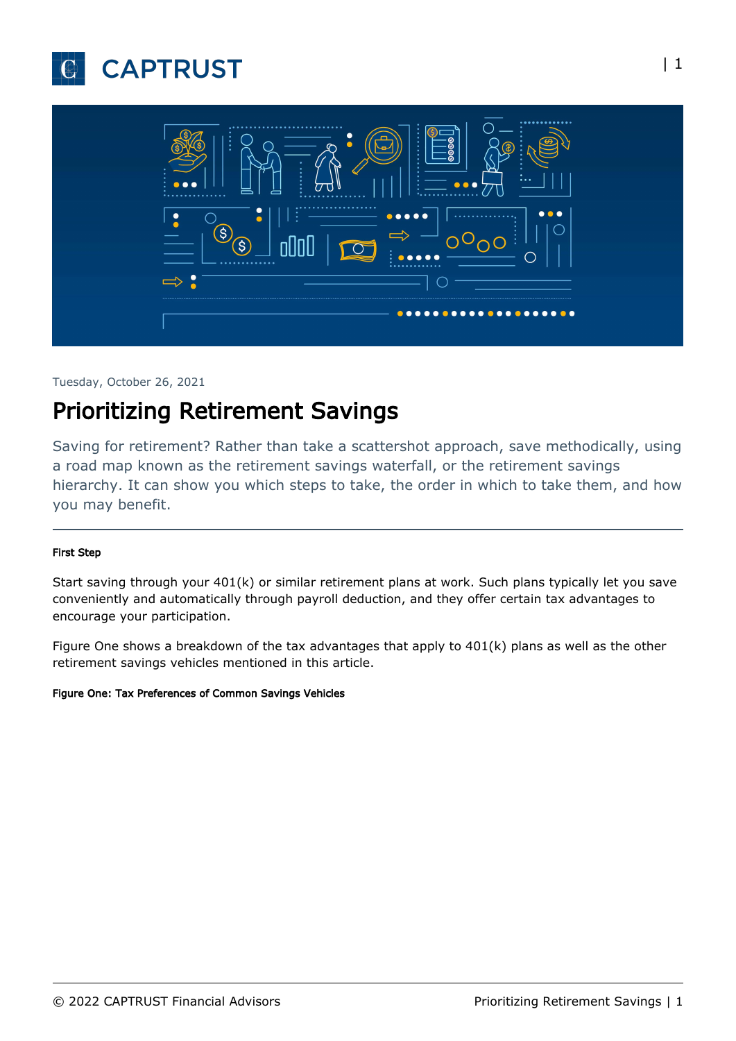



#### Tuesday, October 26, 2021

# Prioritizing Retirement Savings

Saving for retirement? Rather than take a scattershot approach, save methodically, using a road map known as the retirement savings waterfall, or the retirement savings hierarchy. It can show you which steps to take, the order in which to take them, and how you may benefit.

#### First Step

Start saving through your 401(k) or similar retirement plans at work. Such plans typically let you save conveniently and automatically through payroll deduction, and they offer certain tax advantages to encourage your participation.

Figure One shows a breakdown of the tax advantages that apply to 401(k) plans as well as the other retirement savings vehicles mentioned in this article.

#### Figure One: Tax Preferences of Common Savings Vehicles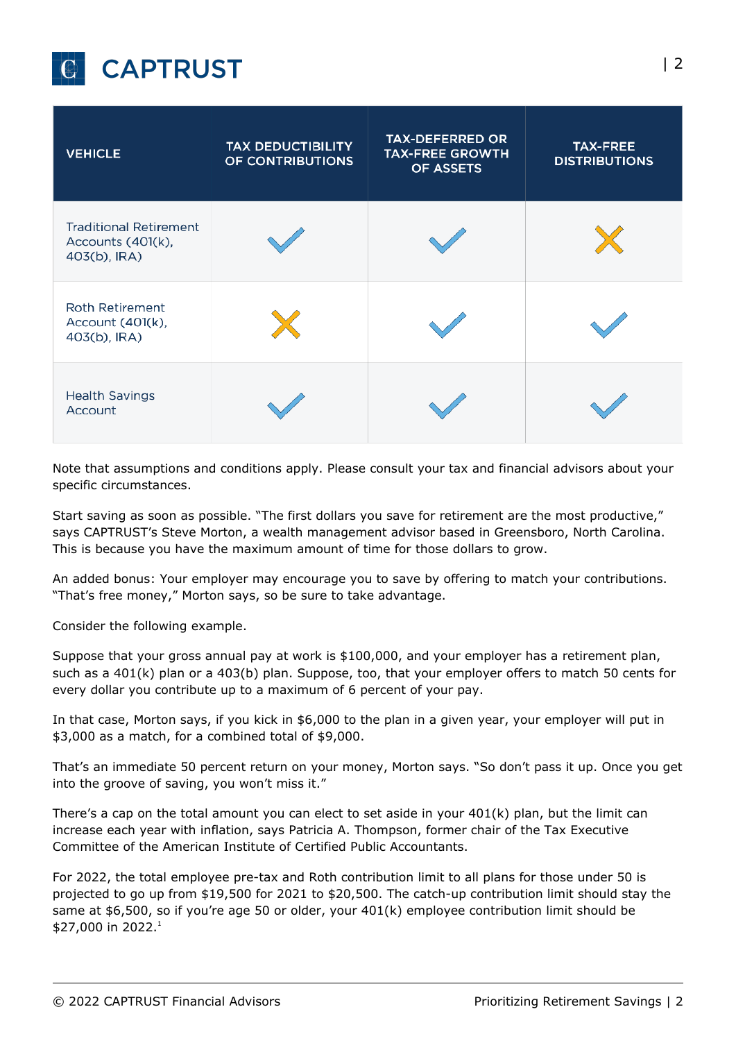

| <b>VEHICLE</b>                                                     | <b>TAX DEDUCTIBILITY</b><br>OF CONTRIBUTIONS | <b>TAX-DEFERRED OR</b><br><b>TAX-FREE GROWTH</b><br>OF ASSETS | <b>TAX-FREE</b><br><b>DISTRIBUTIONS</b> |
|--------------------------------------------------------------------|----------------------------------------------|---------------------------------------------------------------|-----------------------------------------|
| <b>Traditional Retirement</b><br>Accounts (401(k),<br>403(b), IRA) |                                              |                                                               |                                         |
| <b>Roth Retirement</b><br>Account (401(k),<br>403(b), IRA)         |                                              |                                                               |                                         |
| <b>Health Savings</b><br><b>Account</b>                            |                                              |                                                               |                                         |

Note that assumptions and conditions apply. Please consult your tax and financial advisors about your specific circumstances.

Start saving as soon as possible. "The first dollars you save for retirement are the most productive," says CAPTRUST's Steve Morton, a wealth management advisor based in Greensboro, North Carolina. This is because you have the maximum amount of time for those dollars to grow.

An added bonus: Your employer may encourage you to save by offering to match your contributions. "That's free money," Morton says, so be sure to take advantage.

Consider the following example.

Suppose that your gross annual pay at work is \$100,000, and your employer has a retirement plan, such as a 401(k) plan or a 403(b) plan. Suppose, too, that your employer offers to match 50 cents for every dollar you contribute up to a maximum of 6 percent of your pay.

In that case, Morton says, if you kick in \$6,000 to the plan in a given year, your employer will put in \$3,000 as a match, for a combined total of \$9,000.

That's an immediate 50 percent return on your money, Morton says. "So don't pass it up. Once you get into the groove of saving, you won't miss it."

There's a cap on the total amount you can elect to set aside in your 401(k) plan, but the limit can increase each year with inflation, says Patricia A. Thompson, former chair of the Tax Executive Committee of the American Institute of Certified Public Accountants.

For 2022, the total employee pre-tax and Roth contribution limit to all plans for those under 50 is projected to go up from \$19,500 for 2021 to \$20,500. The catch-up contribution limit should stay the same at \$6,500, so if you're age 50 or older, your 401(k) employee contribution limit should be \$27,000 in 2022.<sup>1</sup>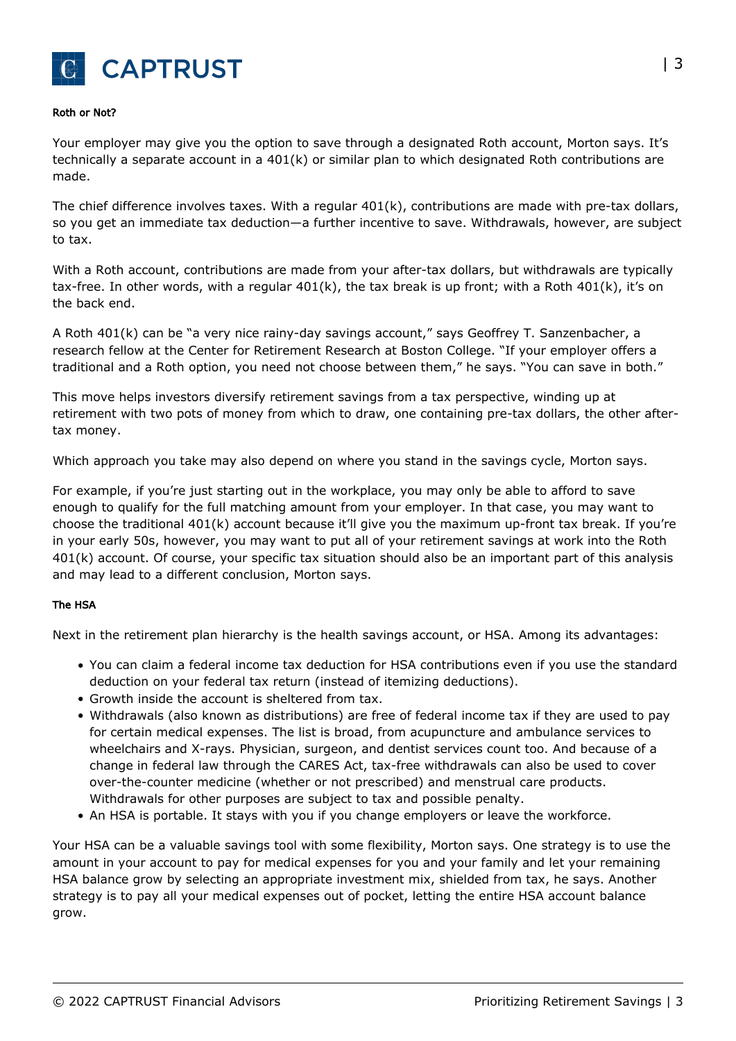

#### Roth or Not?

Your employer may give you the option to save through a designated Roth account, Morton says. It's technically a separate account in a 401(k) or similar plan to which designated Roth contributions are made.

The chief difference involves taxes. With a regular  $401(k)$ , contributions are made with pre-tax dollars, so you get an immediate tax deduction—a further incentive to save. Withdrawals, however, are subject to tax.

With a Roth account, contributions are made from your after-tax dollars, but withdrawals are typically tax-free. In other words, with a regular  $401(k)$ , the tax break is up front; with a Roth  $401(k)$ , it's on the back end.

A Roth 401(k) can be "a very nice rainy-day savings account," says Geoffrey T. Sanzenbacher, a research fellow at the Center for Retirement Research at Boston College. "If your employer offers a traditional and a Roth option, you need not choose between them," he says. "You can save in both."

This move helps investors diversify retirement savings from a tax perspective, winding up at retirement with two pots of money from which to draw, one containing pre-tax dollars, the other aftertax money.

Which approach you take may also depend on where you stand in the savings cycle, Morton says.

For example, if you're just starting out in the workplace, you may only be able to afford to save enough to qualify for the full matching amount from your employer. In that case, you may want to choose the traditional 401(k) account because it'll give you the maximum up-front tax break. If you're in your early 50s, however, you may want to put all of your retirement savings at work into the Roth 401(k) account. Of course, your specific tax situation should also be an important part of this analysis and may lead to a different conclusion, Morton says.

#### The HSA

Next in the retirement plan hierarchy is the health savings account, or HSA. Among its advantages:

- You can claim a federal income tax deduction for HSA contributions even if you use the standard deduction on your federal tax return (instead of itemizing deductions).
- Growth inside the account is sheltered from tax.
- Withdrawals (also known as distributions) are free of federal income tax if they are used to pay for certain medical expenses. The list is broad, from acupuncture and ambulance services to wheelchairs and X-rays. Physician, surgeon, and dentist services count too. And because of a change in federal law through the CARES Act, tax-free withdrawals can also be used to cover over-the-counter medicine (whether or not prescribed) and menstrual care products. Withdrawals for other purposes are subject to tax and possible penalty.
- An HSA is portable. It stays with you if you change employers or leave the workforce.

Your HSA can be a valuable savings tool with some flexibility, Morton says. One strategy is to use the amount in your account to pay for medical expenses for you and your family and let your remaining HSA balance grow by selecting an appropriate investment mix, shielded from tax, he says. Another strategy is to pay all your medical expenses out of pocket, letting the entire HSA account balance grow.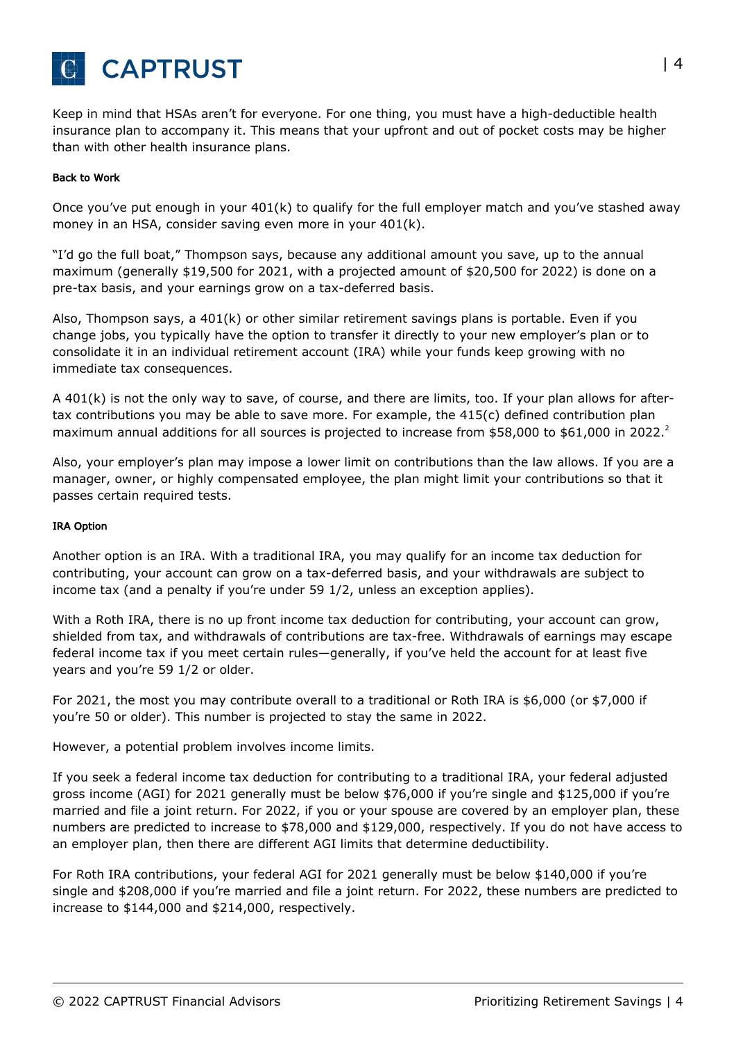

Keep in mind that HSAs aren't for everyone. For one thing, you must have a high-deductible health insurance plan to accompany it. This means that your upfront and out of pocket costs may be higher than with other health insurance plans.

#### Back to Work

Once you've put enough in your 401(k) to qualify for the full employer match and you've stashed away money in an HSA, consider saving even more in your 401(k).

"I'd go the full boat," Thompson says, because any additional amount you save, up to the annual maximum (generally \$19,500 for 2021, with a projected amount of \$20,500 for 2022) is done on a pre-tax basis, and your earnings grow on a tax-deferred basis.

Also, Thompson says, a 401(k) or other similar retirement savings plans is portable. Even if you change jobs, you typically have the option to transfer it directly to your new employer's plan or to consolidate it in an individual retirement account (IRA) while your funds keep growing with no immediate tax consequences.

A 401(k) is not the only way to save, of course, and there are limits, too. If your plan allows for aftertax contributions you may be able to save more. For example, the 415(c) defined contribution plan maximum annual additions for all sources is projected to increase from \$58,000 to \$61,000 in 2022.<sup>2</sup>

Also, your employer's plan may impose a lower limit on contributions than the law allows. If you are a manager, owner, or highly compensated employee, the plan might limit your contributions so that it passes certain required tests.

#### IRA Option

Another option is an IRA. With a traditional IRA, you may qualify for an income tax deduction for contributing, your account can grow on a tax-deferred basis, and your withdrawals are subject to income tax (and a penalty if you're under 59 1/2, unless an exception applies).

With a Roth IRA, there is no up front income tax deduction for contributing, your account can grow, shielded from tax, and withdrawals of contributions are tax-free. Withdrawals of earnings may escape federal income tax if you meet certain rules—generally, if you've held the account for at least five years and you're 59 1/2 or older.

For 2021, the most you may contribute overall to a traditional or Roth IRA is \$6,000 (or \$7,000 if you're 50 or older). This number is projected to stay the same in 2022.

However, a potential problem involves income limits.

If you seek a federal income tax deduction for contributing to a traditional IRA, your federal adjusted gross income (AGI) for 2021 generally must be below \$76,000 if you're single and \$125,000 if you're married and file a joint return. For 2022, if you or your spouse are covered by an employer plan, these numbers are predicted to increase to \$78,000 and \$129,000, respectively. If you do not have access to an employer plan, then there are different AGI limits that determine deductibility.

For Roth IRA contributions, your federal AGI for 2021 generally must be below \$140,000 if you're single and \$208,000 if you're married and file a joint return. For 2022, these numbers are predicted to increase to \$144,000 and \$214,000, respectively.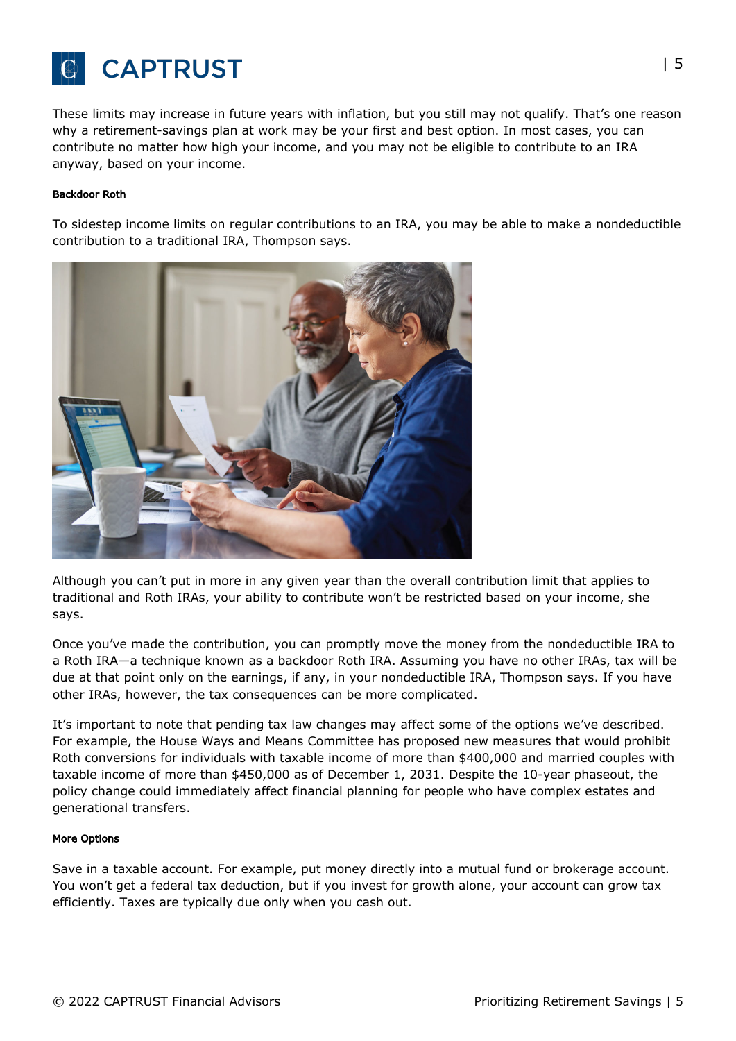

These limits may increase in future years with inflation, but you still may not qualify. That's one reason why a retirement-savings plan at work may be your first and best option. In most cases, you can contribute no matter how high your income, and you may not be eligible to contribute to an IRA anyway, based on your income.

#### Backdoor Roth

To sidestep income limits on regular contributions to an IRA, you may be able to make a nondeductible contribution to a traditional IRA, Thompson says.



Although you can't put in more in any given year than the overall contribution limit that applies to traditional and Roth IRAs, your ability to contribute won't be restricted based on your income, she says.

Once you've made the contribution, you can promptly move the money from the nondeductible IRA to a Roth IRA—a technique known as a backdoor Roth IRA. Assuming you have no other IRAs, tax will be due at that point only on the earnings, if any, in your nondeductible IRA, Thompson says. If you have other IRAs, however, the tax consequences can be more complicated.

It's important to note that pending tax law changes may affect some of the options we've described. For example, the House Ways and Means Committee has proposed new measures that would prohibit Roth conversions for individuals with taxable income of more than \$400,000 and married couples with taxable income of more than \$450,000 as of December 1, 2031. Despite the 10-year phaseout, the policy change could immediately affect financial planning for people who have complex estates and generational transfers.

#### More Options

Save in a taxable account. For example, put money directly into a mutual fund or brokerage account. You won't get a federal tax deduction, but if you invest for growth alone, your account can grow tax efficiently. Taxes are typically due only when you cash out.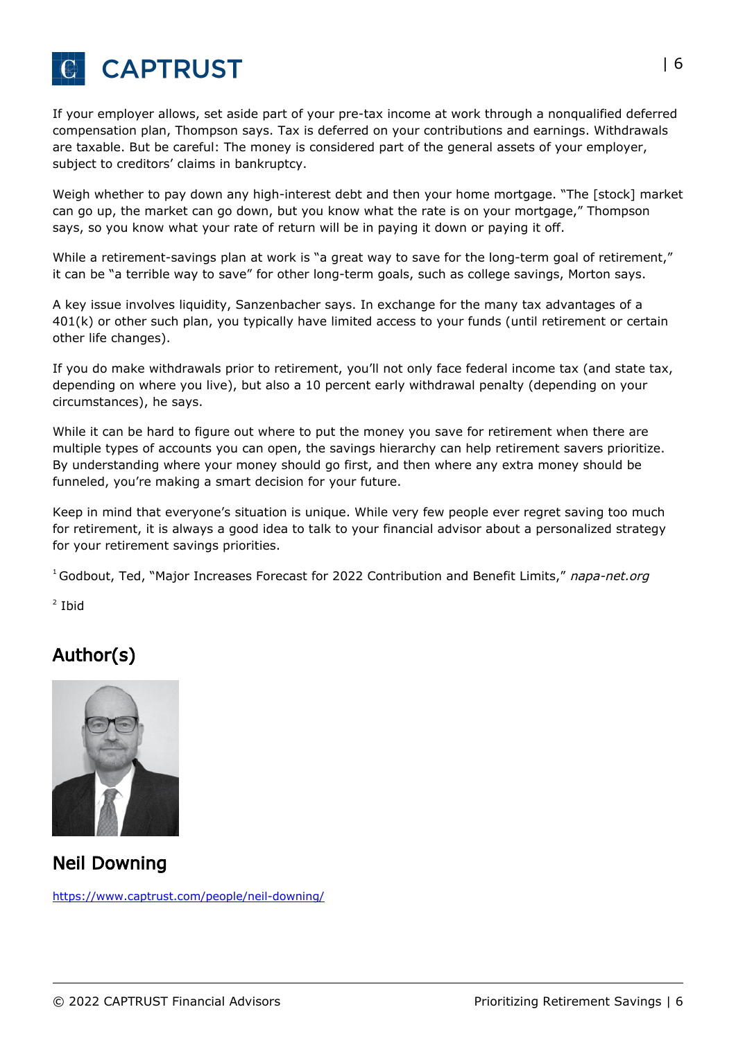

If your employer allows, set aside part of your pre-tax income at work through a nonqualified deferred compensation plan, Thompson says. Tax is deferred on your contributions and earnings. Withdrawals are taxable. But be careful: The money is considered part of the general assets of your employer, subject to creditors' claims in bankruptcy.

Weigh whether to pay down any high-interest debt and then your home mortgage. "The [stock] market can go up, the market can go down, but you know what the rate is on your mortgage," Thompson says, so you know what your rate of return will be in paying it down or paying it off.

While a retirement-savings plan at work is "a great way to save for the long-term goal of retirement," it can be "a terrible way to save" for other long-term goals, such as college savings, Morton says.

A key issue involves liquidity, Sanzenbacher says. In exchange for the many tax advantages of a 401(k) or other such plan, you typically have limited access to your funds (until retirement or certain other life changes).

If you do make withdrawals prior to retirement, you'll not only face federal income tax (and state tax, depending on where you live), but also a 10 percent early withdrawal penalty (depending on your circumstances), he says.

While it can be hard to figure out where to put the money you save for retirement when there are multiple types of accounts you can open, the savings hierarchy can help retirement savers prioritize. By understanding where your money should go first, and then where any extra money should be funneled, you're making a smart decision for your future.

Keep in mind that everyone's situation is unique. While very few people ever regret saving too much for retirement, it is always a good idea to talk to your financial advisor about a personalized strategy for your retirement savings priorities.

<sup>1</sup> Godbout, Ted, "Major Increases Forecast for 2022 Contribution and Benefit Limits," napa-net.org

<sup>2</sup> Ibid

## Author(s)



Neil Downing

<https://www.captrust.com/people/neil-downing/>